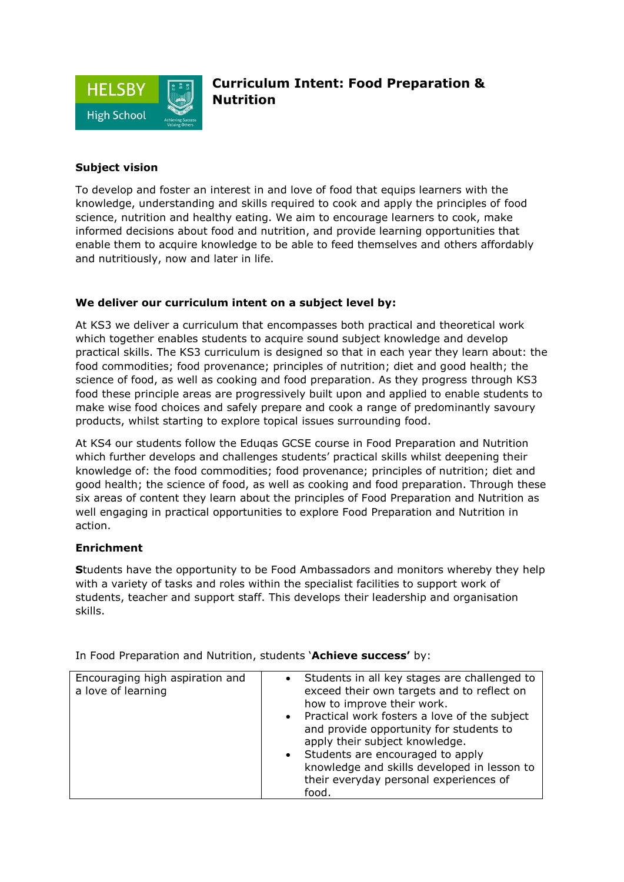

## **Subject vision**

To develop and foster an interest in and love of food that equips learners with the knowledge, understanding and skills required to cook and apply the principles of food science, nutrition and healthy eating. We aim to encourage learners to cook, make informed decisions about food and nutrition, and provide learning opportunities that enable them to acquire knowledge to be able to feed themselves and others affordably and nutritiously, now and later in life.

## **We deliver our curriculum intent on a subject level by:**

At KS3 we deliver a curriculum that encompasses both practical and theoretical work which together enables students to acquire sound subject knowledge and develop practical skills. The KS3 curriculum is designed so that in each year they learn about: the food commodities; food provenance; principles of nutrition; diet and good health; the science of food, as well as cooking and food preparation. As they progress through KS3 food these principle areas are progressively built upon and applied to enable students to make wise food choices and safely prepare and cook a range of predominantly savoury products, whilst starting to explore topical issues surrounding food.

At KS4 our students follow the Eduqas GCSE course in Food Preparation and Nutrition which further develops and challenges students' practical skills whilst deepening their knowledge of: the food commodities; food provenance; principles of nutrition; diet and good health; the science of food, as well as cooking and food preparation. Through these six areas of content they learn about the principles of Food Preparation and Nutrition as well engaging in practical opportunities to explore Food Preparation and Nutrition in action.

## **Enrichment**

**S**tudents have the opportunity to be Food Ambassadors and monitors whereby they help with a variety of tasks and roles within the specialist facilities to support work of students, teacher and support staff. This develops their leadership and organisation skills.

| Encouraging high aspiration and<br>a love of learning | Students in all key stages are challenged to<br>exceed their own targets and to reflect on<br>how to improve their work.<br>Practical work fosters a love of the subject<br>$\bullet$<br>and provide opportunity for students to<br>apply their subject knowledge.<br>• Students are encouraged to apply<br>knowledge and skills developed in lesson to<br>their everyday personal experiences of |
|-------------------------------------------------------|---------------------------------------------------------------------------------------------------------------------------------------------------------------------------------------------------------------------------------------------------------------------------------------------------------------------------------------------------------------------------------------------------|
|                                                       | food.                                                                                                                                                                                                                                                                                                                                                                                             |

In Food Preparation and Nutrition, students '**Achieve success'** by: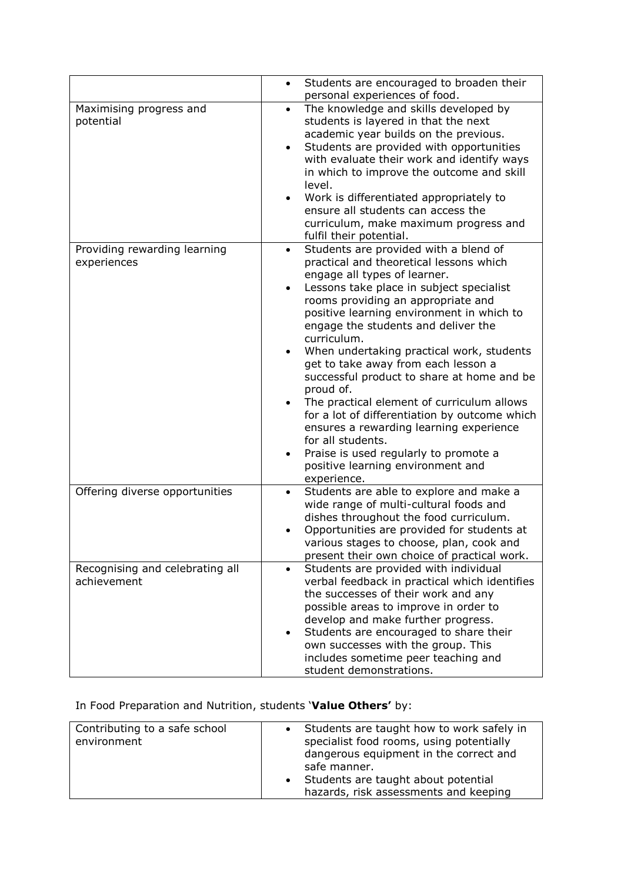|                                                | Students are encouraged to broaden their<br>$\bullet$<br>personal experiences of food.                                                                                                                                                                                                                                                                                                                                                                                                                                                                                                                                                                                                                                                             |
|------------------------------------------------|----------------------------------------------------------------------------------------------------------------------------------------------------------------------------------------------------------------------------------------------------------------------------------------------------------------------------------------------------------------------------------------------------------------------------------------------------------------------------------------------------------------------------------------------------------------------------------------------------------------------------------------------------------------------------------------------------------------------------------------------------|
| Maximising progress and<br>potential           | The knowledge and skills developed by<br>$\bullet$<br>students is layered in that the next<br>academic year builds on the previous.<br>Students are provided with opportunities<br>$\bullet$<br>with evaluate their work and identify ways<br>in which to improve the outcome and skill<br>level.<br>Work is differentiated appropriately to<br>ensure all students can access the<br>curriculum, make maximum progress and<br>fulfil their potential.                                                                                                                                                                                                                                                                                             |
| Providing rewarding learning<br>experiences    | Students are provided with a blend of<br>٠<br>practical and theoretical lessons which<br>engage all types of learner.<br>Lessons take place in subject specialist<br>٠<br>rooms providing an appropriate and<br>positive learning environment in which to<br>engage the students and deliver the<br>curriculum.<br>When undertaking practical work, students<br>$\bullet$<br>get to take away from each lesson a<br>successful product to share at home and be<br>proud of.<br>The practical element of curriculum allows<br>$\bullet$<br>for a lot of differentiation by outcome which<br>ensures a rewarding learning experience<br>for all students.<br>Praise is used regularly to promote a<br>$\bullet$<br>positive learning environment and |
| Offering diverse opportunities                 | experience.<br>Students are able to explore and make a<br>$\bullet$<br>wide range of multi-cultural foods and<br>dishes throughout the food curriculum.<br>Opportunities are provided for students at<br>various stages to choose, plan, cook and<br>present their own choice of practical work.                                                                                                                                                                                                                                                                                                                                                                                                                                                   |
| Recognising and celebrating all<br>achievement | Students are provided with individual<br>$\bullet$<br>verbal feedback in practical which identifies<br>the successes of their work and any<br>possible areas to improve in order to<br>develop and make further progress.<br>Students are encouraged to share their<br>own successes with the group. This<br>includes sometime peer teaching and<br>student demonstrations.                                                                                                                                                                                                                                                                                                                                                                        |

## In Food Preparation and Nutrition, students '**Value Others'** by:

| Contributing to a safe school<br>environment |  | • Students are taught how to work safely in<br>specialist food rooms, using potentially<br>dangerous equipment in the correct and<br>safe manner.<br>• Students are taught about potential<br>hazards, risk assessments and keeping |
|----------------------------------------------|--|-------------------------------------------------------------------------------------------------------------------------------------------------------------------------------------------------------------------------------------|
|----------------------------------------------|--|-------------------------------------------------------------------------------------------------------------------------------------------------------------------------------------------------------------------------------------|